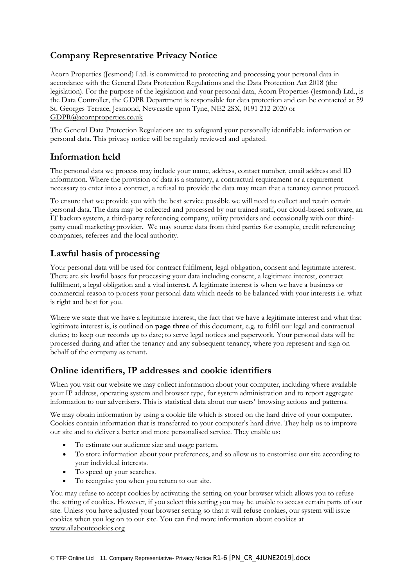## **Company Representative Privacy Notice**

Acorn Properties (Jesmond) Ltd. is committed to protecting and processing your personal data in accordance with the General Data Protection Regulations and the Data Protection Act 2018 (the legislation). For the purpose of the legislation and your personal data, Acorn Properties (Jesmond) Ltd., is the Data Controller, the GDPR Department is responsible for data protection and can be contacted at 59 St. Georges Terrace, Jesmond, Newcastle upon Tyne, NE2 2SX, 0191 212 2020 or [GDPR@acornproperties.co.uk](mailto:GDPR@acornproperties.co.uk)

The General Data Protection Regulations are to safeguard your personally identifiable information or personal data. This privacy notice will be regularly reviewed and updated.

### **Information held**

The personal data we process may include your name, address, contact number, email address and ID information. Where the provision of data is a statutory, a contractual requirement or a requirement necessary to enter into a contract, a refusal to provide the data may mean that a tenancy cannot proceed.

To ensure that we provide you with the best service possible we will need to collect and retain certain personal data. The data may be collected and processed by our trained staff, our cloud-based software, an IT backup system, a third-party referencing company, utility providers and occasionally with our thirdparty email marketing provider**.** We may source data from third parties for example, credit referencing companies, referees and the local authority.

### **Lawful basis of processing**

Your personal data will be used for contract fulfilment, legal obligation, consent and legitimate interest. There are six lawful bases for processing your data including consent, a legitimate interest, contract fulfilment, a legal obligation and a vital interest. A legitimate interest is when we have a business or commercial reason to process your personal data which needs to be balanced with your interests i.e. what is right and best for you.

Where we state that we have a legitimate interest, the fact that we have a legitimate interest and what that legitimate interest is, is outlined on **page three** of this document, e.g. to fulfil our legal and contractual duties; to keep our records up to date; to serve legal notices and paperwork. Your personal data will be processed during and after the tenancy and any subsequent tenancy, where you represent and sign on behalf of the company as tenant.

### **Online identifiers, IP addresses and cookie identifiers**

When you visit our website we may collect information about your computer, including where available your IP address, operating system and browser type, for system administration and to report aggregate information to our advertisers. This is statistical data about our users' browsing actions and patterns.

We may obtain information by using a cookie file which is stored on the hard drive of your computer. Cookies contain information that is transferred to your computer's hard drive. They help us to improve our site and to deliver a better and more personalised service. They enable us:

- To estimate our audience size and usage pattern.
- To store information about your preferences, and so allow us to customise our site according to your individual interests.
- To speed up your searches.
- To recognise you when you return to our site.

You may refuse to accept cookies by activating the setting on your browser which allows you to refuse the setting of cookies. However, if you select this setting you may be unable to access certain parts of our site. Unless you have adjusted your browser setting so that it will refuse cookies, our system will issue cookies when you log on to our site. You can find more information about cookies at [www.allaboutcookies.org](http://www.allaboutcookies.org/)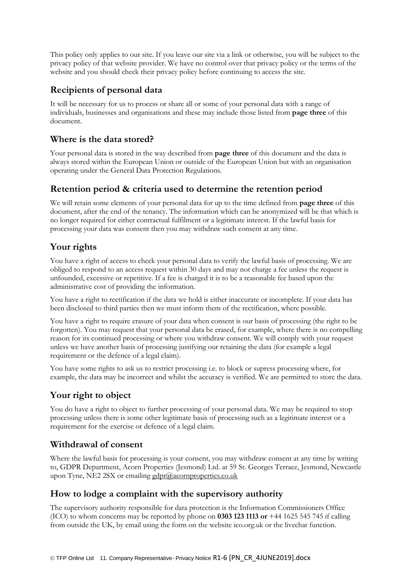This policy only applies to our site. If you leave our site via a link or otherwise, you will be subject to the privacy policy of that website provider. We have no control over that privacy policy or the terms of the website and you should check their privacy policy before continuing to access the site.

## **Recipients of personal data**

It will be necessary for us to process or share all or some of your personal data with a range of individuals, businesses and organisations and these may include those listed from **page three** of this document.

#### **Where is the data stored?**

Your personal data is stored in the way described from **page three** of this document and the data is always stored within the European Union or outside of the European Union but with an organisation operating under the General Data Protection Regulations.

#### **Retention period & criteria used to determine the retention period**

We will retain some elements of your personal data for up to the time defined from **page three** of this document, after the end of the tenancy. The information which can be anonymized will be that which is no longer required for either contractual fulfilment or a legitimate interest. If the lawful basis for processing your data was consent then you may withdraw such consent at any time.

### **Your rights**

You have a right of access to check your personal data to verify the lawful basis of processing. We are obliged to respond to an access request within 30 days and may not charge a fee unless the request is unfounded, excessive or repetitive. If a fee is charged it is to be a reasonable fee based upon the administrative cost of providing the information.

You have a right to rectification if the data we hold is either inaccurate or incomplete. If your data has been disclosed to third parties then we must inform them of the rectification, where possible.

You have a right to require erasure of your data when consent is our basis of processing (the right to be forgotten). You may request that your personal data be erased, for example, where there is no compelling reason for its continued processing or where you withdraw consent. We will comply with your request unless we have another basis of processing justifying our retaining the data (for example a legal requirement or the defence of a legal claim).

You have some rights to ask us to restrict processing i.e. to block or supress processing where, for example, the data may be incorrect and whilst the accuracy is verified. We are permitted to store the data.

### **Your right to object**

You do have a right to object to further processing of your personal data. We may be required to stop processing unless there is some other legitimate basis of processing such as a legitimate interest or a requirement for the exercise or defence of a legal claim.

### **Withdrawal of consent**

Where the lawful basis for processing is your consent, you may withdraw consent at any time by writing to, GDPR Department, Acorn Properties (Jesmond) Ltd. at 59 St. Georges Terrace, Jesmond, Newcastle upon Tyne, NE2 2SX or emailing [gdpr@acornproperties.co.uk](mailto:gdpr@acornproperties.co.uk)

### **How to lodge a complaint with the supervisory authority**

The supervisory authority responsible for data protection is the Information Commissioners Office (ICO) to whom concerns may be reported by phone on **0303 123 1113 or** +44 1625 545 745 if calling from outside the UK, by email using the form on the website ico.org.uk or the livechat function.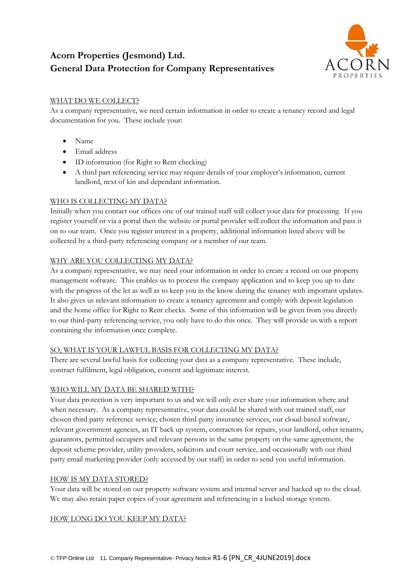# **Acorn Properties (Jesmond) Ltd. General Data Protection for Company Representatives**



#### WHAT DO WE COLLECT?

As a company representative, we need certain information in order to create a tenancy record and legal documentation for you. These include your:

- Name
- Email address
- ID information (for Right to Rent checking)
- A third part referencing service may require details of your employer's information, current landlord, next of kin and dependant information.

#### WHO IS COLLECTING MY DATA?

Initially when you contact our offices one of our trained staff will collect your data for processing. If you register yourself or via a portal then the website or portal provider will collect the information and pass it on to our team. Once you register interest in a property, additional information listed above will be collected by a third-party referencing company or a member of our team.

#### WHY ARE YOU COLLECTING MY DATA?

As a company representative, we may need your information in order to create a record on our property management software. This enables us to process the company application and to keep you up to date with the progress of the let as well as to keep you in the know during the tenancy with important updates. It also gives us relevant information to create a tenancy agreement and comply with deposit legislation and the home office for Right to Rent checks. Some of this information will be given from you directly to our third-party referencing service, you only have to do this once. They will provide us with a report containing the information once complete.

#### SO, WHAT IS YOUR LAWFUL BASIS FOR COLLECTING MY DATA?

There are several lawful basis for collecting your data as a company representative. These include, contract fulfilment, legal obligation, consent and legitimate interest.

#### WHO WILL MY DATA BE SHARED WITH?

Your data protection is very important to us and we will only ever share your information where and when necessary. As a company representative, your data could be shared with our trained staff, our chosen third party reference service, chosen third-party insurance services, our cloud-based software, relevant government agencies, an IT back up system, contractors for repairs, your landlord, other tenants, guarantors, permitted occupiers and relevant persons in the same property on the same agreement, the deposit scheme provider, utility providers, solicitors and court service, and occasionally with our third party email marketing provider (only accessed by our staff) in order to send you useful information.

#### HOW IS MY DATA STORED?

Your data will be stored on our property software system and internal server and backed up to the cloud. We may also retain paper copies of your agreement and referencing in a locked storage system.

#### HOW LONG DO YOU KEEP MY DATA?